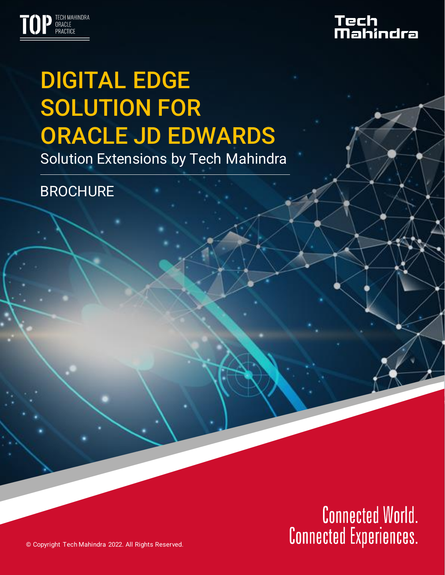

# Tech<br>Mahindra

# DIGITAL EDGE SOLUTION FOR ORACLE JD EDWARDS

Solution Extensions by Tech Mahindra

**BROCHURE** 

# **Connected World.**<br>**Connected Experiences.**

© Copyright Tech Mahindra 2022. All Rights Reserved.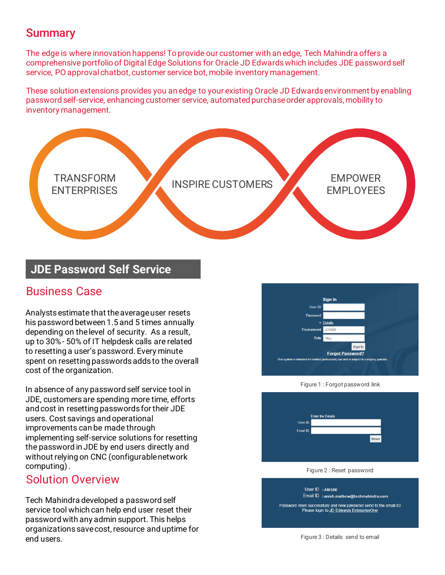### **Summary**

The edge is where innovation happens! To provide our customer with an edge, Tech Mahindra offers a comprehensive portfolio of Digital Edge Solutions for Oracle JD Edwards which includes JDE password self service, PO approval chatbot, customer service bot, mobile inventory management.

These solution extensions provides you an edge to your existing Oracle JD Edwards environment by enabling password self-service, enhancing customer service, automated purchase order approvals, mobility to inventory management.



#### **JDE Password Self Service**

#### Business Case

Analysts estimate that the average user resets his password between 1.5 and 5 times annually depending on the level of security. As a result, up to 30% - 50% of IT helpdesk calls are related to resetting a user's password. Every minute spent on resetting passwords adds to the overall cost of the organization.

In absence of any password self service tool in JDE, customers are spending more time, efforts and cost in resetting passwords for their JDE users. Cost savings and operational improvements can be made through implementing self-service solutions for resetting the password in JDE by end users directly and without relying on CNC (configurable network computing) .

#### Solution Overview

Tech Mahindra developed a password self service tool which can help end user reset their password with any admin support. This helps organizations save cost, resource and uptime for end users.



Figure 1 : Forgot password link

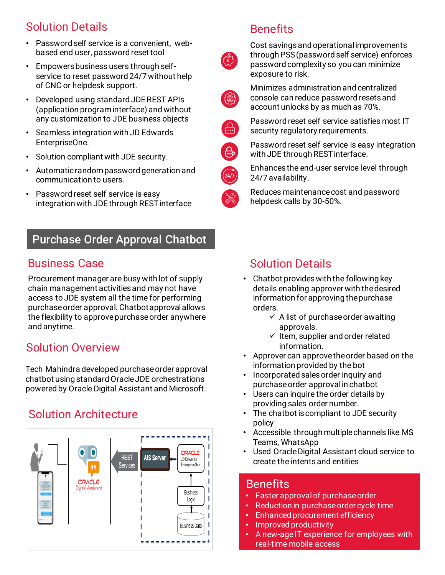# Solution Details

- Password self service is a convenient, webbased end user, password reset tool
- Empowers business users through selfservice to reset password 24/7 without help of CNC or helpdesk support.
- Developed using standard JDE REST APIs (application program interface) and without any customization to JDE business objects
- Seamless integration with JD Edwards EnterpriseOne.
- Solution compliant with JDE security.
- Automatic random password generation and communication to users.
- Password reset self service is easy integration with JDE through REST interface

# Purchase Order Approval Chatbot

# Business Case

Procurement manager are busy with lot of supply chain management activities and may not have access to JDE system all the time for performing purchase order approval. Chatbot approval allows the flexibility to approve purchase order anywhere and anytime.

# Solution Overview

Tech Mahindra developed purchase order approval chatbot using standard Oracle JDE orchestrations powered by Oracle Digital Assistant and Microsoft.

# Solution Architecture



# **Benefits**



Cost savings and operational improvements through PSS (password self service) enforces password complexity so you can minimize exposure to risk.



Minimizes administration and centralized console can reduce password resets and account unlocks by as much as 70%.



Password reset self service satisfies most IT security regulatory requirements.



Password reset self service is easy integration with JDE through REST interface.



Enhances the end-user service level through 24/7 availability.

Reduces maintenance cost and password helpdesk calls by 30-50%.

# Solution Details

- Chatbot provides with the following key details enabling approver with the desired information for approving the purchase orders.
	- $\checkmark$  A list of purchase order awaiting approvals.
	- $\checkmark$  Item, supplier and order related information.
- Approver can approve the order based on the information provided by the bot
- Incorporated sales order inquiry and purchase order approval in chatbot
- Users can inquire the order details by providing sales order number.
- The chatbot is compliant to JDE security policy
- Accessible through multiple channels like MS Teams, WhatsApp
- create the intents and entities • Used Oracle Digital Assistant cloud service to

# er <mark>Benefits</mark> approval of purchase order

- Faster approval of purchase order  $\hspace{0.1mm}$
- Reduction in purchase order cycle time
- Enhanced procurement efficiency
- $\blacksquare$  Improved productivity
- A new-age IT experience for employees with real-time mobile access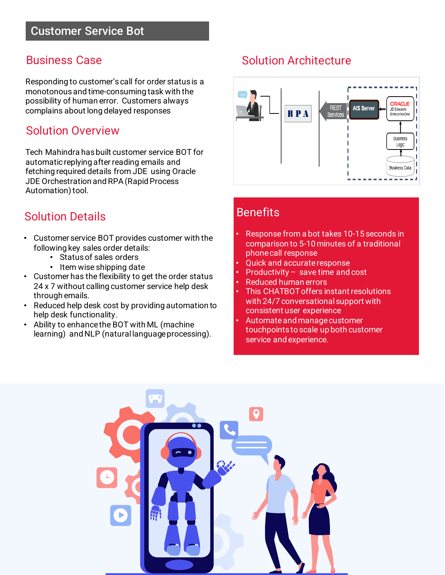## Business Case

Responding to customer's call for order status is a monotonous and time-consuming task with the possibility of human error. Customers always complains about long delayed responses

#### Solution Overview

Tech Mahindra has built customer service BOT for automatic replying after reading emails and fetching required details from JDE using Oracle JDE Orchestration and RPA (Rapid Process Automation) tool.

# Solution Details

- Customer service BOT provides customer with the following key sales order details:
	- Status of sales orders
	- Item wise shipping date
- Customer has the flexibility to get the order status 24 x 7 without calling customer service help desk through emails.
- Reduced help desk cost by providing automation to help desk functionality.
- Ability to enhance the BOT with ML (machine learning) and NLP (natural language processing).

# Solution Architecture



#### **Benefits**

- Response from a bot takes 10-15 seconds in comparison to 5-10 minutes of a traditional phone call response
- Quick and accurate response
- Productivity  $-$  save time and cost
- Reduced human errors
- This CHATBOT offers instant resolutions with 24/7 conversational support with consistent user experience
- Automate and manage customer touchpoints to scale up both customer service and experience.

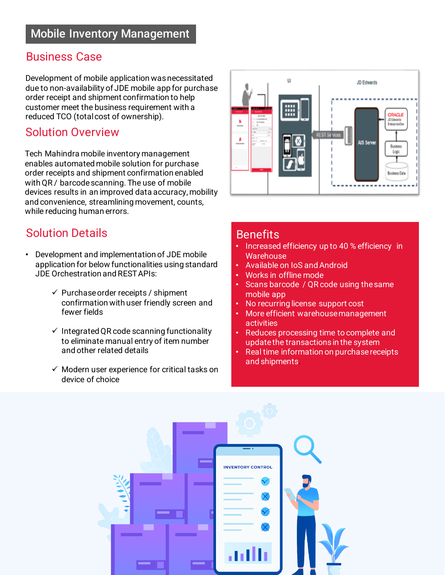#### Business Case

Development of mobile application was necessitated due to non-availability of JDE mobile app for purchase order receipt and shipment confirmation to help customer meet the business requirement with a reduced TCO (total cost of ownership).

## Solution Overview

Tech Mahindra mobile inventory management enables automated mobile solution for purchase order receipts and shipment confirmation enabled with QR / barcode scanning. The use of mobile devices results in an improved data accuracy, mobility and convenience, streamlining movement, counts, while reducing human errors.

## Solution Details

- Development and implementation of JDE mobile application for below functionalities using standard JDE Orchestration and REST APIs:
	- $\checkmark$  Purchase order receipts / shipment confirmation with user friendly screen and fewer fields
	- $\checkmark$  Integrated QR code scanning functionality to eliminate manual entry of item number and other related details
	- $\checkmark$  Modern user experience for critical tasks on device of choice



#### **Benefits**

- Increased efficiency up to 40 % efficiency in **Warehouse**
- Available on IoS and Android
- Works in offline mode
- Scans barcode / QR code using the same mobile app
- No recurring license support cost
- More efficient warehouse management activities
- Reduces processing time to complete and update the transactions in the system
- Real time information on purchase receipts and shipments.